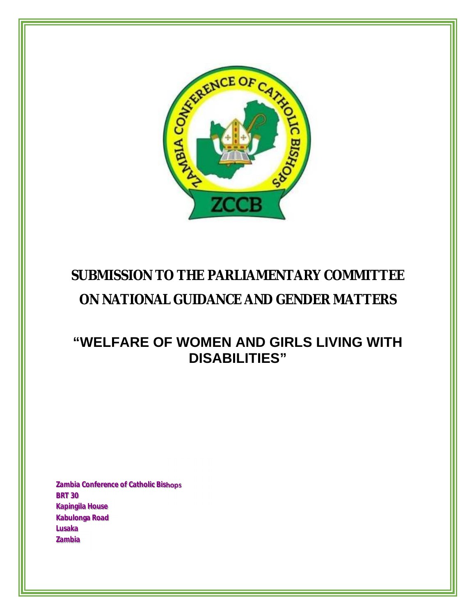

# **SUBMISSION TO THE PARLIAMENTARY COMMITTEE**

# **ON NATIONAL GUIDANCE AND GENDER MATTERS**

# **"WELFARE OF WOMEN AND GIRLS LIVING WITH DISABILITIES"**

**Zambia Conference of Catholic Bishops BRT 30 Kapingila House Kabulonga Road Lusaka Zambia**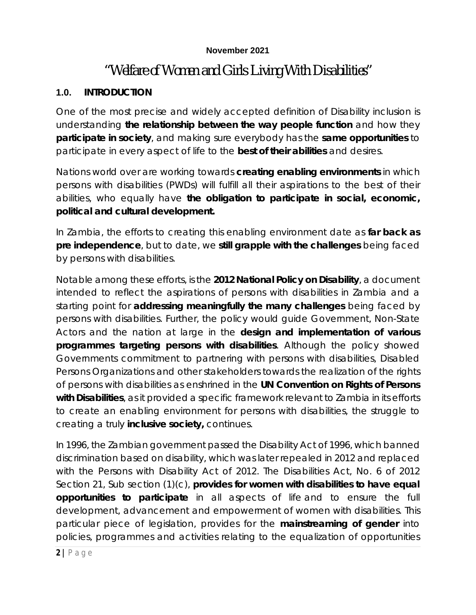#### **November 2021**

# *"Welfare of Women and Girls Living With Disabilities"*

#### **1.0. INTRODUCTION**

One of the most precise and widely accepted definition of Disability inclusion is understanding **the relationship between the way people function** and how they **participate in society**, and making sure everybody has the **same opportunities** to participate in every aspect of life to the **best of their abilities** and desires.

Nations world over are working towards **creating enabling environments** in which persons with disabilities (PWDs) will fulfill all their aspirations to the best of their abilities, who equally have **the obligation to participate in social, economic, political and cultural development.**

In Zambia, the efforts to creating this enabling environment date as **far back as pre independence**, but to date, we **still grapple with the challenges** being faced by persons with disabilities.

Notable among these efforts, is the **2012 National Policy on Disability**, a document intended to reflect the aspirations of persons with disabilities in Zambia and a starting point for **addressing meaningfully the many challenges** being faced by persons with disabilities. Further, the policy would guide Government, Non-State Actors and the nation at large in the **design and implementation of various programmes targeting persons with disabilities**. Although the policy showed Governments commitment to partnering with persons with disabilities, Disabled Persons Organizations and other stakeholders towards the realization of the rights of persons with disabilities as enshrined in the **UN Convention on Rights of Persons with Disabilities**, as it provided a specific framework relevant to Zambia in its efforts to create an enabling environment for persons with disabilities, the struggle to creating a truly **inclusive society,** continues.

In 1996, the Zambian government passed the Disability Act of 1996, which banned discrimination based on disability, which was later repealed in 2012 and replaced with the Persons with Disability Act of 2012. The Disabilities Act, No. 6 of 2012 Section 21, Sub section (1)(c), **provides for women with disabilities to have equal opportunities to participate** in all aspects of life and to ensure the full development, advancement and empowerment of women with disabilities. This particular piece of legislation, provides for the **mainstreaming of gender** into policies, programmes and activities relating to the equalization of opportunities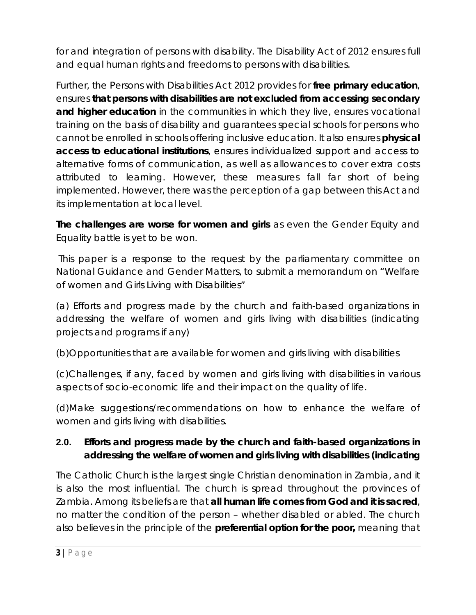for and integration of persons with disability. The Disability Act of 2012 ensures full and equal human rights and freedoms to persons with disabilities.

Further, the Persons with Disabilities Act 2012 provides for **free primary education**, ensures **that persons with disabilities are not excluded from accessing secondary and higher education** in the communities in which they live, ensures vocational training on the basis of disability and guarantees special schools for persons who cannot be enrolled in schools offering inclusive education. It also ensures **physical access to educational institutions**, ensures individualized support and access to alternative forms of communication, as well as allowances to cover extra costs attributed to learning. However, these measures fall far short of being implemented. However, there was the perception of a gap between this Act and its implementation at local level.

**The challenges are worse for women and girls** as even the Gender Equity and Equality battle is yet to be won.

This paper is a response to the request by the parliamentary committee on National Guidance and Gender Matters, to submit a memorandum *on "Welfare of women and Girls Living with Disabilities"*

(a) Efforts and progress made by the church and faith-based organizations in addressing the welfare of women and girls living with disabilities (indicating projects and programs if any)

(b)Opportunities that are available for women and girls living with disabilities

(c)Challenges, if any, faced by women and girls living with disabilities in various aspects of socio-economic life and their impact on the quality of life.

(d)Make suggestions/recommendations on how to enhance the welfare of women and girls living with disabilities.

## **2.0. Efforts and progress made by the church and faith-based organizations in addressing the welfare of women and girls living with disabilities (indicating**

The Catholic Church is the largest single Christian denomination in Zambia, and it is also the most influential. The church is spread throughout the provinces of Zambia. Among its beliefs are that **all human life comes from God and it is sacred**, no matter the condition of the person – whether disabled or abled. The church also believes in the principle of the **preferential option for the poor,** meaning that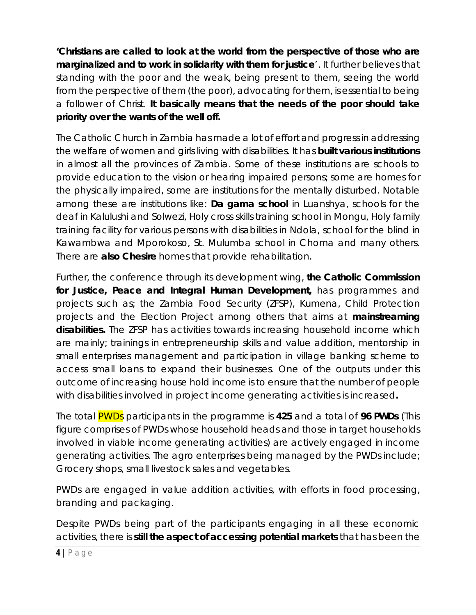**'Christians are called to look at the world from the perspective of those who are marginalized and to work in solidarity with them for justice**'. It further believes that standing with the poor and the weak, being present to them, seeing the world from the perspective of them (the poor), advocating for them, is essential to being a follower of Christ. **It basically means that the needs of the poor should take priority over the wants of the well off.**

The Catholic Church in Zambia has made a lot of effort and progress in addressing the welfare of women and girls living with disabilities. It has **built various institutions** in almost all the provinces of Zambia. Some of these institutions are schools to provide education to the vision or hearing impaired persons; some are homes for the physically impaired, some are institutions for the mentally disturbed. Notable among these are institutions like: **Da gama school** in Luanshya, schools for the deaf in Kalulushi and Solwezi, Holy cross skills training school in Mongu, Holy family training facility for various persons with disabilities in Ndola, school for the blind in Kawambwa and Mporokoso, St. Mulumba school in Choma and many others. There are **also Chesire** homes that provide rehabilitation.

Further, the conference through its development wing, **the Catholic Commission for Justice, Peace and Integral Human Development,** has programmes and projects such as; the Zambia Food Security (ZFSP), Kumena, Child Protection projects and the Election Project among others that aims at **mainstreaming disabilities.** The ZFSP has activities towards increasing household income which are mainly; trainings in entrepreneurship skills and value addition, mentorship in small enterprises management and participation in village banking scheme to access small loans to expand their businesses. One of the outputs under this outcome of increasing house hold income is to ensure that the number of people with disabilities involved in project income generating activities is increased**.**

The total PWDs participants in the programme is **425** and a total of **96 PWDs** (This figure comprises of PWDs whose household heads and those in target households involved in viable income generating activities) are actively engaged in income generating activities. The agro enterprises being managed by the PWDs include; Grocery shops, small livestock sales and vegetables.

PWDs are engaged in value addition activities, with efforts in food processing, branding and packaging.

Despite PWDs being part of the participants engaging in all these economic activities, there is **still the aspect of accessing potential markets** that has been the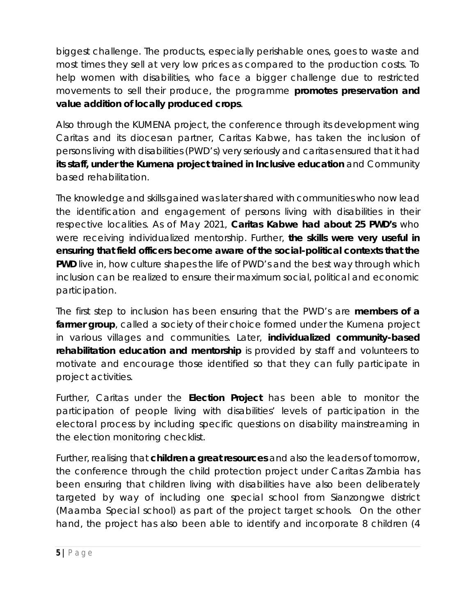biggest challenge. The products, especially perishable ones, goes to waste and most times they sell at very low prices as compared to the production costs. To help women with disabilities, who face a bigger challenge due to restricted movements to sell their produce, the programme **promotes preservation and value addition of locally produced crops**.

Also through the KUMENA project, the conference through its development wing Caritas and its diocesan partner, Caritas Kabwe, has taken the inclusion of persons living with disabilities (PWD's) very seriously and caritas ensured that it had **its staff, under the Kumena project trained in Inclusive education** and Community based rehabilitation.

The knowledge and skills gained was later shared with communities who now lead the identification and engagement of persons living with disabilities in their respective localities. As of May 2021, **Caritas Kabwe had about 25 PWD's** who were receiving individualized mentorship. Further, **the skills were very useful in ensuring that field officers become aware of the social-political contexts that the PWD** live in, how culture shapes the life of PWD's and the best way through which inclusion can be realized to ensure their maximum social, political and economic participation.

The first step to inclusion has been ensuring that the PWD's are **members of a**  farmer group, called a society of their choice formed under the Kumena project in various villages and communities. Later, **individualized community-based rehabilitation education and mentorship** is provided by staff and volunteers to motivate and encourage those identified so that they can fully participate in project activities.

Further, Caritas under the **Election Project** has been able to monitor the participation of people living with disabilities' levels of participation in the electoral process by including specific questions on disability mainstreaming in the election monitoring checklist.

Further, realising that **children a great resources** and also the leaders of tomorrow, the conference through the child protection project under Caritas Zambia has been ensuring that children living with disabilities have also been deliberately targeted by way of including one special school from Sianzongwe district (Maamba Special school) as part of the project target schools. On the other hand, the project has also been able to identify and incorporate 8 children (4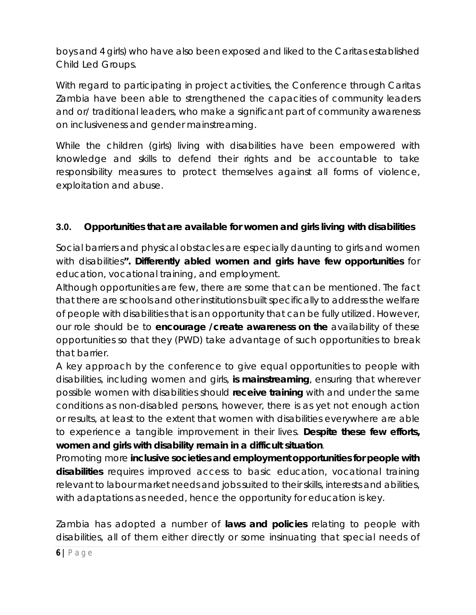boys and 4 girls) who have also been exposed and liked to the Caritas established Child Led Groups.

With regard to participating in project activities, the Conference through Caritas Zambia have been able to strengthened the capacities of community leaders and or/ traditional leaders, who make a significant part of community awareness on inclusiveness and gender mainstreaming.

While the children (girls) living with disabilities have been empowered with knowledge and skills to defend their rights and be accountable to take responsibility measures to protect themselves against all forms of violence, exploitation and abuse.

### **3.0. Opportunities that are available for women and girls living with disabilities**

Social barriers and physical obstacles are especially daunting to girls and women with disabilities**". Differently abled women and girls have few opportunities** for education, vocational training, and employment.

Although opportunities are few, there are some that can be mentioned. The fact that there are schools and other institutions built specifically to address the welfare of people with disabilities that is an opportunity that can be fully utilized. However, our role should be to **encourage /create awareness on the** availability of these opportunities so that they (PWD) take advantage of such opportunities to break that barrier.

A key approach by the conference to give equal opportunities to people with disabilities, including women and girls, **is mainstreaming**, ensuring that wherever possible women with disabilities should **receive training** with and under the same conditions as non-disabled persons, however, there is as yet not enough action or results, at least to the extent that women with disabilities everywhere are able to experience a tangible improvement in their lives. **Despite these few efforts, women and girls with disability remain in a difficult situation**.

Promoting more **inclusive societies and employment opportunities for people with disabilities** requires improved access to basic education, vocational training relevant to labour market needs and jobs suited to their skills, interests and abilities, with adaptations as needed, hence the opportunity for education is key.

Zambia has adopted a number of **laws and policies** relating to people with disabilities, all of them either directly or some insinuating that special needs of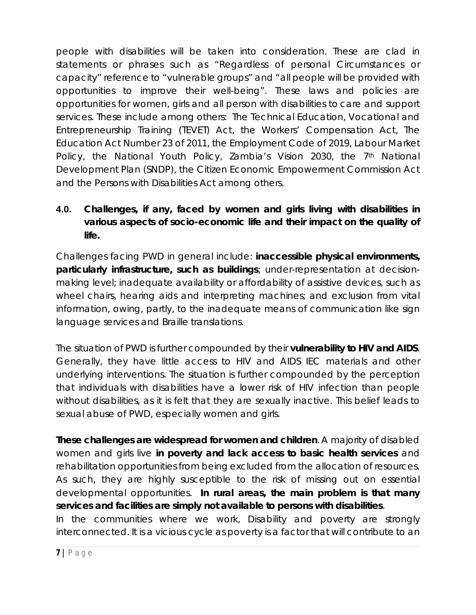people with disabilities will be taken into consideration. These are clad in statements or phrases such as "Regardless of personal Circumstances or capacity" reference to "vulnerable groups" and "all people will be provided with opportunities to improve their well-being". These laws and policies are opportunities for women, girls and all person with disabilities to care and support services. These include among others: The Technical Education, Vocational and Entrepreneurship Training (TEVET) Act, the Workers' Compensation Act, The Education Act Number 23 of 2011, the Employment Code of 2019, Labour Market Policy, the National Youth Policy, Zambia's Vision 2030, the 7<sup>th</sup> National Development Plan (SNDP), the Citizen Economic Empowerment Commission Act and the Persons with Disabilities Act among others.

## **4.0. Challenges, if any, faced by women and girls living with disabilities in various aspects of socio-economic life and their impact on the quality of life.**

Challenges facing PWD in general include: **inaccessible physical environments, particularly infrastructure, such as buildings**; under-representation at decisionmaking level; inadequate availability or affordability of assistive devices, such as wheel chairs, hearing aids and interpreting machines; and exclusion from vital information, owing, partly, to the inadequate means of communication like sign language services and Braille translations.

The situation of PWD is further compounded by their **vulnerability to HIV and AIDS**. Generally, they have little access to HIV and AIDS IEC materials and other underlying interventions. The situation is further compounded by the perception that individuals with disabilities have a lower risk of HIV infection than people without disabilities, as it is felt that they are sexually inactive. This belief leads to sexual abuse of PWD, especially women and girls.

**These challenges are widespread for women and children**. A majority of disabled women and girls live **in poverty and lack access to basic health services** and rehabilitation opportunities from being excluded from the allocation of resources. As such, they are highly susceptible to the risk of missing out on essential developmental opportunities. **In rural areas, the main problem is that many services and facilities are simply not available to persons with disabilities**.

In the communities where we work, Disability and poverty are strongly interconnected. It is a vicious cycle as poverty is a factor that will contribute to an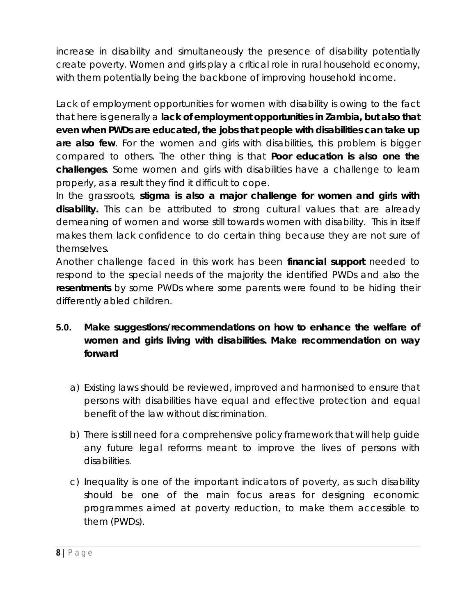increase in disability and simultaneously the presence of disability potentially create poverty. Women and girls play a critical role in rural household economy, with them potentially being the backbone of improving household income.

Lack of employment opportunities for women with disability is owing to the fact that here is generally a **lack of employment opportunities in Zambia, but also that even when PWDs are educated, the jobs that people with disabilities can take up are also few**. For the women and girls with disabilities, this problem is bigger compared to others. The other thing is that **Poor education is also one the challenges**. Some women and girls with disabilities have a challenge to learn properly, as a result they find it difficult to cope.

In the grassroots, **stigma is also a major challenge for women and girls with disability.** This can be attributed to strong cultural values that are already demeaning of women and worse still towards women with disability. This in itself makes them lack confidence to do certain thing because they are not sure of themselves.

Another challenge faced in this work has been **financial support** needed to respond to the special needs of the majority the identified PWDs and also the **resentments** by some PWDs where some parents were found to be hiding their differently abled children.

## **5.0. Make suggestions/recommendations on how to enhance the welfare of women and girls living with disabilities. Make recommendation on way forward**

- a) Existing laws should be reviewed, improved and harmonised to ensure that persons with disabilities have equal and effective protection and equal benefit of the law without discrimination.
- b) There is still need for a comprehensive policy framework that will help guide any future legal reforms meant to improve the lives of persons with disabilities.
- c) Inequality is one of the important indicators of poverty, as such disability should be one of the main focus areas for designing economic programmes aimed at poverty reduction, to make them accessible to them (PWDs).